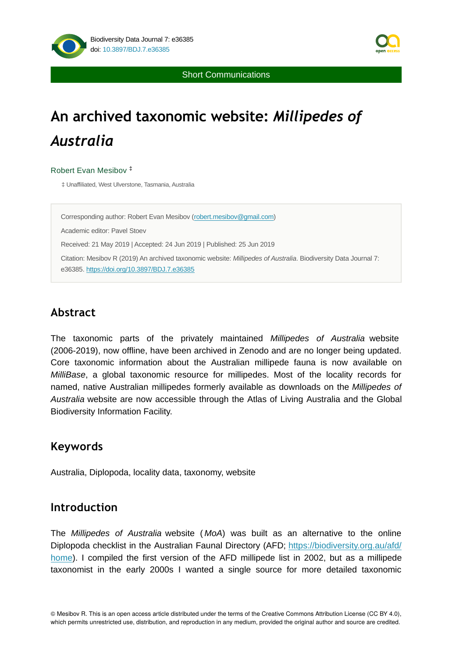

Short Communications

# **An archived taxonomic website:** *Millipedes of Australia*

### Robert Evan Mesibov ‡

‡ Unaffiliated, West Ulverstone, Tasmania, Australia

Corresponding author: Robert Evan Mesibov ([robert.mesibov@gmail.com\)](mailto:robert.mesibov@gmail.com)

Academic editor: Pavel Stoev

Received: 21 May 2019 | Accepted: 24 Jun 2019 | Published: 25 Jun 2019

Citation: Mesibov R (2019) An archived taxonomic website: *Millipedes of Australia*. Biodiversity Data Journal 7: e36385.<https://doi.org/10.3897/BDJ.7.e36385>

# **Abstract**

The taxonomic parts of the privately maintained *Millipedes of Australia* website (2006-2019), now offline, have been archived in Zenodo and are no longer being updated. Core taxonomic information about the Australian millipede fauna is now available on *MilliBase*, a global taxonomic resource for millipedes. Most of the locality records for named, native Australian millipedes formerly available as downloads on the *Millipedes of Australia* website are now accessible through the Atlas of Living Australia and the Global Biodiversity Information Facility.

# **Keywords**

Australia, Diplopoda, locality data, taxonomy, website

## **Introduction**

The *Millipedes of Australia* website ( *MoA*) was built as an alternative to the online Diplopoda checklist in the Australian Faunal Directory (AFD; [https://biodiversity.org.au/afd/](https://biodiversity.org.au/afd/home) [home\)](https://biodiversity.org.au/afd/home). I compiled the first version of the AFD millipede list in 2002, but as a millipede taxonomist in the early 2000s I wanted a single source for more detailed taxonomic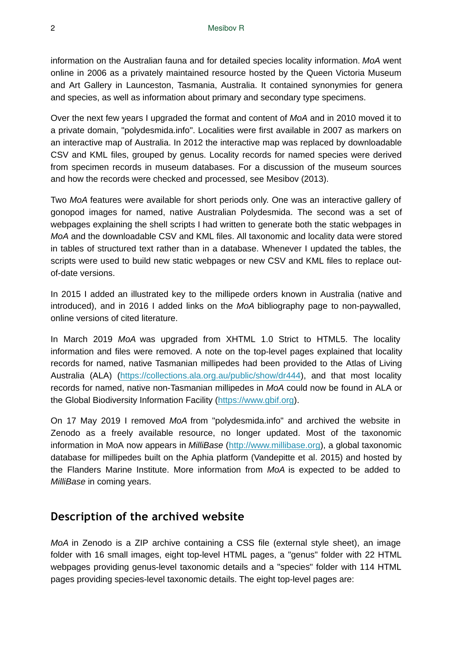information on the Australian fauna and for detailed species locality information. *MoA* went online in 2006 as a privately maintained resource hosted by the Queen Victoria Museum and Art Gallery in Launceston, Tasmania, Australia. It contained synonymies for genera and species, as well as information about primary and secondary type specimens.

Over the next few years I upgraded the format and content of *MoA* and in 2010 moved it to a private domain, "polydesmida.info". Localities were first available in 2007 as markers on an interactive map of Australia. In 2012 the interactive map was replaced by downloadable CSV and KML files, grouped by genus. Locality records for named species were derived from specimen records in museum databases. For a discussion of the museum sources and how the records were checked and processed, see Mesibov (2013).

Two *MoA* features were available for short periods only. One was an interactive gallery of gonopod images for named, native Australian Polydesmida. The second was a set of webpages explaining the shell scripts I had written to generate both the static webpages in *MoA* and the downloadable CSV and KML files. All taxonomic and locality data were stored in tables of structured text rather than in a database. Whenever I updated the tables, the scripts were used to build new static webpages or new CSV and KML files to replace outof-date versions.

In 2015 I added an illustrated key to the millipede orders known in Australia (native and introduced), and in 2016 I added links on the *MoA* bibliography page to non-paywalled, online versions of cited literature.

In March 2019 *MoA* was upgraded from XHTML 1.0 Strict to HTML5. The locality information and files were removed. A note on the top-level pages explained that locality records for named, native Tasmanian millipedes had been provided to the Atlas of Living Australia (ALA) [\(https://collections.ala.org.au/public/show/dr444\)](https://collections.ala.org.au/public/show/dr444), and that most locality records for named, native non-Tasmanian millipedes in *MoA* could now be found in ALA or the Global Biodiversity Information Facility ([https://www.gbif.org](https://www.gbif.org/)).

On 17 May 2019 I removed *MoA* from "polydesmida.info" and archived the website in Zenodo as a freely available resource, no longer updated. Most of the taxonomic information in MoA now appears in *MilliBase* ([http://www.millibase.org](http://www.millibase.org/)), a global taxonomic database for millipedes built on the Aphia platform (Vandepitte et al. 2015) and hosted by the Flanders Marine Institute. More information from *MoA* is expected to be added to *MilliBase* in coming years.

# **Description of the archived website**

*MoA* in Zenodo is a ZIP archive containing a CSS file (external style sheet), an image folder with 16 small images, eight top-level HTML pages, a "genus" folder with 22 HTML webpages providing genus-level taxonomic details and a "species" folder with 114 HTML pages providing species-level taxonomic details. The eight top-level pages are: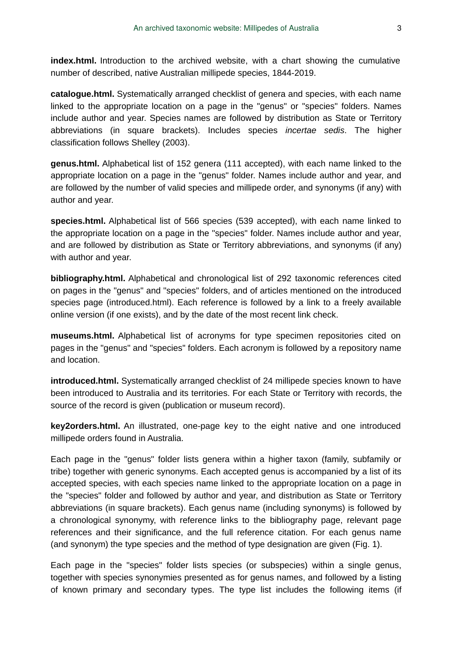**index.html.** Introduction to the archived website, with a chart showing the cumulative number of described, native Australian millipede species, 1844-2019.

**catalogue.html.** Systematically arranged checklist of genera and species, with each name linked to the appropriate location on a page in the "genus" or "species" folders. Names include author and year. Species names are followed by distribution as State or Territory abbreviations (in square brackets). Includes species *incertae sedis*. The higher classification follows Shelley (2003).

**genus.html.** Alphabetical list of 152 genera (111 accepted), with each name linked to the appropriate location on a page in the "genus" folder. Names include author and year, and are followed by the number of valid species and millipede order, and synonyms (if any) with author and year.

**species.html.** Alphabetical list of 566 species (539 accepted), with each name linked to the appropriate location on a page in the "species" folder. Names include author and year, and are followed by distribution as State or Territory abbreviations, and synonyms (if any) with author and year.

**bibliography.html.** Alphabetical and chronological list of 292 taxonomic references cited on pages in the "genus" and "species" folders, and of articles mentioned on the introduced species page (introduced.html). Each reference is followed by a link to a freely available online version (if one exists), and by the date of the most recent link check.

**museums.html.** Alphabetical list of acronyms for type specimen repositories cited on pages in the "genus" and "species" folders. Each acronym is followed by a repository name and location.

**introduced.html.** Systematically arranged checklist of 24 millipede species known to have been introduced to Australia and its territories. For each State or Territory with records, the source of the record is given (publication or museum record).

**key2orders.html.** An illustrated, one-page key to the eight native and one introduced millipede orders found in Australia.

Each page in the "genus" folder lists genera within a higher taxon (family, subfamily or tribe) together with generic synonyms. Each accepted genus is accompanied by a list of its accepted species, with each species name linked to the appropriate location on a page in the "species" folder and followed by author and year, and distribution as State or Territory abbreviations (in square brackets). Each genus name (including synonyms) is followed by a chronological synonymy, with reference links to the bibliography page, relevant page references and their significance, and the full reference citation. For each genus name (and synonym) the type species and the method of type designation are given (Fig. 1).

Each page in the "species" folder lists species (or subspecies) within a single genus, together with species synonymies presented as for genus names, and followed by a listing of known primary and secondary types. The type list includes the following items (if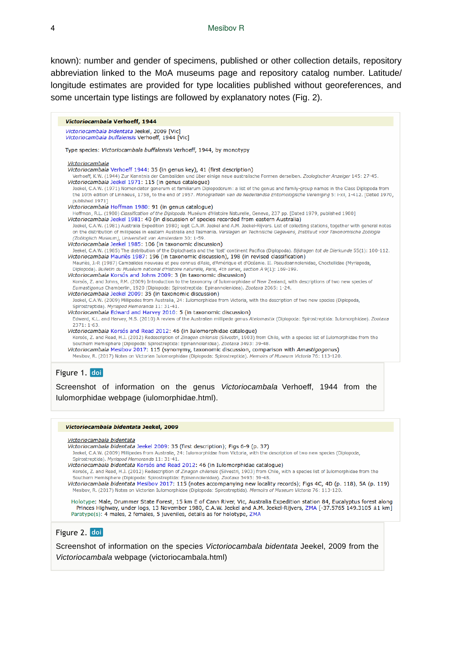known): number and gender of specimens, published or other collection details, repository abbreviation linked to the MoA museums page and repository catalog number. Latitude/ longitude estimates are provided for type localities published without georeferences, and some uncertain type listings are followed by explanatory notes (Fig. 2).

| Victoriocambala Verhoeff, 1944                                                                                                                                                                                                                                                                                                                                                                                                                                                                                                                                                                     |
|----------------------------------------------------------------------------------------------------------------------------------------------------------------------------------------------------------------------------------------------------------------------------------------------------------------------------------------------------------------------------------------------------------------------------------------------------------------------------------------------------------------------------------------------------------------------------------------------------|
| Victoriocambala bidentata Jeekel, 2009 [Vic]<br>Victoriocambala buffalensis Verhoeff, 1944 [Vic]                                                                                                                                                                                                                                                                                                                                                                                                                                                                                                   |
| Type species: Victoriocambala buffalensis Verhoeff, 1944, by monotypy                                                                                                                                                                                                                                                                                                                                                                                                                                                                                                                              |
| Victoriocambala<br>Victoriocambala Verhoeff 1944: 35 (in genus key), 41 (first description)<br>Verhoeff, K.W. (1944) Zur Kenntnis der Cambaliden und über einige neue australische Formen derselben. Zoologischer Anzeiger 145: 27-45.<br>Victoriocambala Jeekel 1971: 115 (in genus catalogue)<br>Jeekel, C.A.W. (1971) Nomenclator generum et familiarum Diplopodorum: a list of the genus and family-group names in the Class Diplopoda from<br>the 10th edition of Linnaeus, 1758, to the end of 1957. Monografieën van de Nederlandse Entomologische Vereniging 5: i-xii, 1-412. [Dated 1970, |
| published 1971]<br>Victoriocambala Hoffman 1980: 91 (in genus catalogue)<br>Hoffman, R.L. (1980) Classification of the Diplopoda. Muséum d'Histoire Naturelle, Geneva, 237 pp. [Dated 1979, published 1980]                                                                                                                                                                                                                                                                                                                                                                                        |
| Victoriocambala Jeekel 1981: 40 (in discussion of species recorded from eastern Australia)<br>Jeekel, C.A.W. (1981) Australia Expedition 1980; legit C.A.W. Jeekel and A.M. Jeekel-Rijvers. List of collecting stations, together with general notes<br>on the distribution of millipedes in eastern Australia and Tasmania. Verslagen en Technische Gegevens, Instituut voor Taxonomische Zoölogie<br>(Zoölogisch Museum), Universiteit van Amsterdam 30: 1-59.                                                                                                                                   |
| Victoriocambala Jeekel 1985: 106 (in taxonomic discussion)<br>Jeekel, C.A.W. (1985) The distribution of the Diplochaeta and the 'lost' continent Pacifica (Diplopoda). Bijdragen tot de Dierkunde 55(1): 100-112.                                                                                                                                                                                                                                                                                                                                                                                  |
| Victoriocambala Mauriès 1987: 196 (in taxonomic discussion), 198 (in revised classification)<br>Mauriès, J.-P. (1987) Cambalides nouveau et peu connus d'Asie, d'Amérique et d'Océanie. II. Pseudoannolenidae, Choctellidae (Myriapoda,<br>Diplopoda). Bulletin du Muséum national d'Histoire naturelle, Paris, 4th series, section A 9(1): 169-199.                                                                                                                                                                                                                                               |
| Victoriocambala Korsós and Johns 2009: 3 (in taxonomic discussion)<br>Korsós, Z. and Johns, P.M. (2009) Introduction to the taxonomy of Iulomorphidae of New Zealand, with descriptions of two new species of<br>Eumastigonus Chamberlin, 1920 (Diplopoda: Spirostreptida: Epinannolenidea). Zootaxa 2065: 1-24.                                                                                                                                                                                                                                                                                   |
| Victoriocambala Jeekel 2009: 35 (in taxonomic discussion)<br>Jeekel, C.A.W. (2009) Millipedes from Australia, 24: Iulomorphidae from Victoria, with the description of two new species (Diplopoda,<br>Spirostreptida). Myriapod Memoranda 11: 31-41.                                                                                                                                                                                                                                                                                                                                               |
| Victoriocambala Edward and Harvey 2010: 5 (in taxonomic discussion)<br>Edward, K.L. and Harvey, M.S. (2010) A review of the Australian millipede genus Atelomastix (Diplopoda: Spirostreptida: Iulomorphidae). Zootaxa<br>$2371:1-63.$                                                                                                                                                                                                                                                                                                                                                             |
| Victoriocambala Korsós and Read 2012: 46 (in Iulomorphidae catalogue)<br>Korsós, Z. and Read, H.J. (2012) Redescription of Zinagon chilensis (Silvestri, 1903) from Chile, with a species list of Iulomorphidae from the<br>Southern Hemisphere (Diplopoda: Spirostreptida: Epinannolenidea). Zootaxa 3493: 39-48.                                                                                                                                                                                                                                                                                 |
| Victoriocambala Mesibov 2017: 115 (synonymy, taxonomic discussion, comparison with Amastigogonus)<br>Mesibov, R. (2017) Notes on Victorian Iulomorphidae (Diplopoda: Spirostreptida). Memoirs of Museum Victoria 76: 113-120.                                                                                                                                                                                                                                                                                                                                                                      |

### Figure 1. doi

Screenshot of information on the genus *Victoriocambala* Verhoeff, 1944 from the Iulomorphidae webpage (iulomorphidae.html).

#### Victoriocambala bidentata Jeekel, 2009

Victoriocambala bidentata

Victoriocambala bidentata Jeekel 2009: 35 (first description); Figs 6-9 (p. 37)

Jeekel, C.A.W. (2009) Millipedes from Australia, 24: Iulomorphidae from Victoria, with the description of two new species (Diplopoda, Spirostreptida), Myrianod Memoranda 11: 31-41.

Victoriocambala bidentata Korsós and Read 2012: 46 (in Iulomorphidae catalogue) Korsós, Z. and Read, H.J. (2012) Redescription of Zinagon chilensis (Silvestri, 1903) from Chile, with a species list of Iulomorphidae from the

Southern Hemisphere (Diplopoda: Spirostreptida: Epinannolenidea). Zootaxa 3493: 39-48. Victoriocambala bidentata Mesibov 2017: 115 (notes accompanying new locality records); Figs 4C, 4D (p. 118), 5A (p. 119)

Mesibov, R. (2017) Notes on Victorian Iulomorphidae (Diplopoda: Spirostreptida). Memoirs of Museum Victoria 76: 113-120.

Holotype: Male, Drummer State Forest, 15 km E of Cann River, Vic, Australia Expedition station 84, Eucalyptus forest along Princes Highway, under logs, 13 November 1980, C.A.W. Jeekel and A.M. Jeekel-Rijvers, ZMA [-37.5765 149.3105 ±1 km] Paratype(s): 4 males, 2 females, 5 juveniles, details as for holotype, ZMA

### Figure 2. doi

Screenshot of information on the species *Victoriocambala bidentata* Jeekel, 2009 from the *Victoriocambala* webpage (victoriocambala.html)